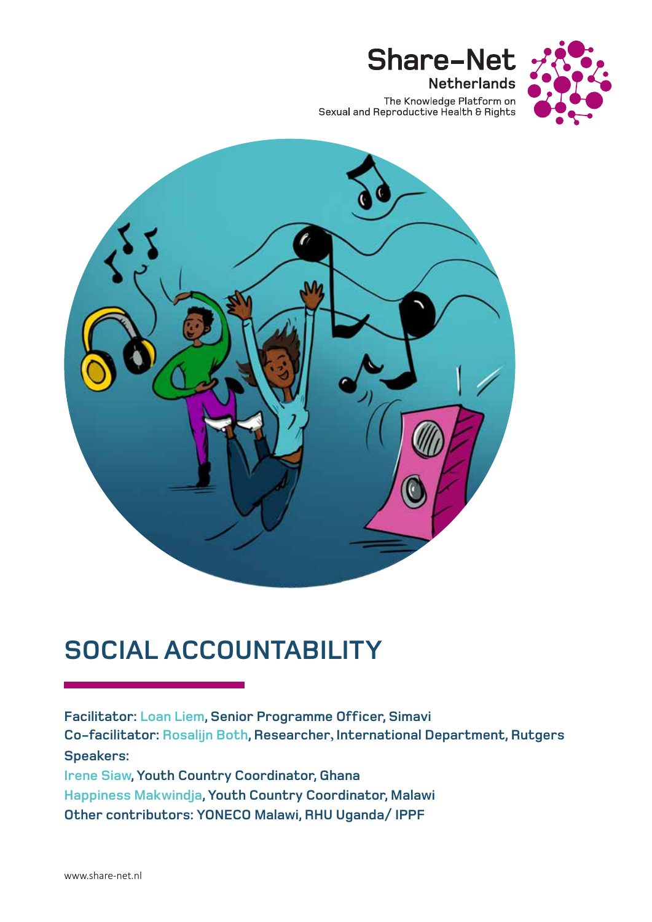

The Knowledge Platform on<br>Sexual and Reproductive Health & Rights

**Share-Net** 

**Netherlands** 



# **SOCIAL ACCOUNTABILITY**

**Facilitator: Loan Liem, Senior Programme Officer, Simavi Co-facilitator: Rosalijn Both, Researcher, International Department, Rutgers Speakers: Irene Siaw, Youth Country Coordinator, Ghana Happiness Makwindja, Youth Country Coordinator, Malawi Other contributors: YONECO Malawi, RHU Uganda/ IPPF**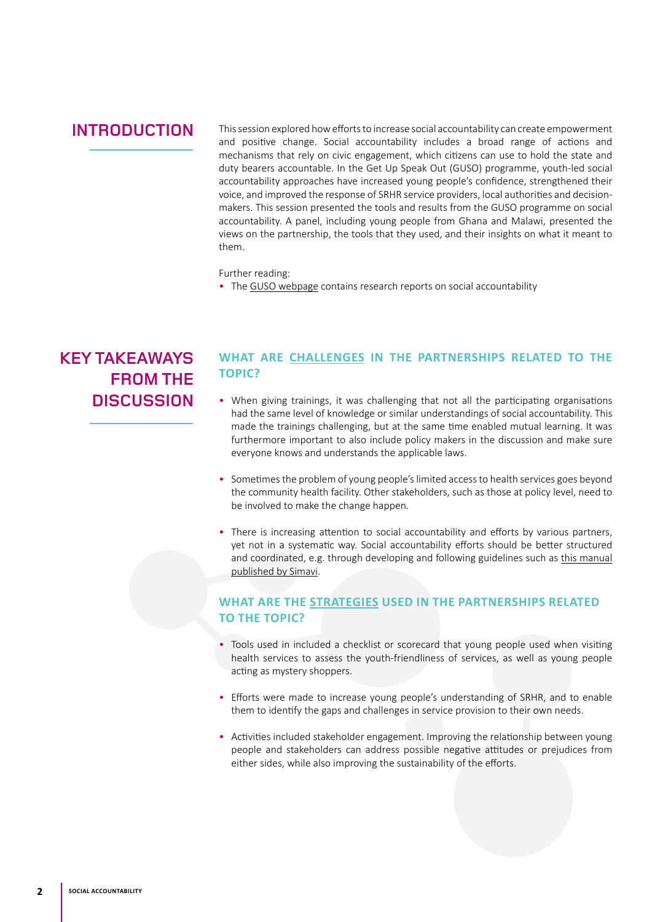### **INTRODUCTION**

This session explored how efforts to increase social accountability can create empowerment and positive change. Social accountability includes a broad range of actions and mechanisms that rely on civic engagement, which citizens can use to hold the state and duty bearers accountable. In the Get Up Speak Out (GUSO) programme, youth-led social accountability approaches have increased young people's confidence, strengthened their voice, and improved the response of SRHR service providers, local authorities and decisionmakers. This session presented the tools and results from the GUSO programme on social accountability. A panel, including young people from Ghana and Malawi, presented the views on the partnership, the tools that they used, and their insights on what it meant to them.

Further reading:

• The [GUSO webpage](https://www.getupspeakout.org/) contains research reports on social accountability

## **KEY TAKEAWAYS FROM THE DISCUSSION**

#### **WHAT ARE CHALLENGES IN THE PARTNERSHIPS RELATED TO THE TOPIC?**

- When giving trainings, it was challenging that not all the participating organisations had the same level of knowledge or similar understandings of social accountability. This made the trainings challenging, but at the same time enabled mutual learning. It was furthermore important to also include policy makers in the discussion and make sure everyone knows and understands the applicable laws.
- Sometimes the problem of young people's limited access to health services goes beyond the community health facility. Other stakeholders, such as those at policy level, need to be involved to make the change happen.
- There is increasing attention to social accountability and efforts by various partners, yet not in a systematic way. Social accountability efforts should be better structured and coordinated, e.g. through developing and following guidelines such as [this manual](https://www.getupspeakout.org/sites/default/files/2020-11/Simavi Social Accountability online manual.pdf) [published by Simavi](https://www.getupspeakout.org/sites/default/files/2020-11/Simavi Social Accountability online manual.pdf).

#### **WHAT ARE THE STRATEGIES USED IN THE PARTNERSHIPS RELATED TO THE TOPIC?**

- Tools used in included a checklist or scorecard that young people used when visiting health services to assess the youth-friendliness of services, as well as young people acting as mystery shoppers.
- Efforts were made to increase young people's understanding of SRHR, and to enable them to identify the gaps and challenges in service provision to their own needs.
- Activities included stakeholder engagement. Improving the relationship between young people and stakeholders can address possible negative attitudes or prejudices from either sides, while also improving the sustainability of the efforts.